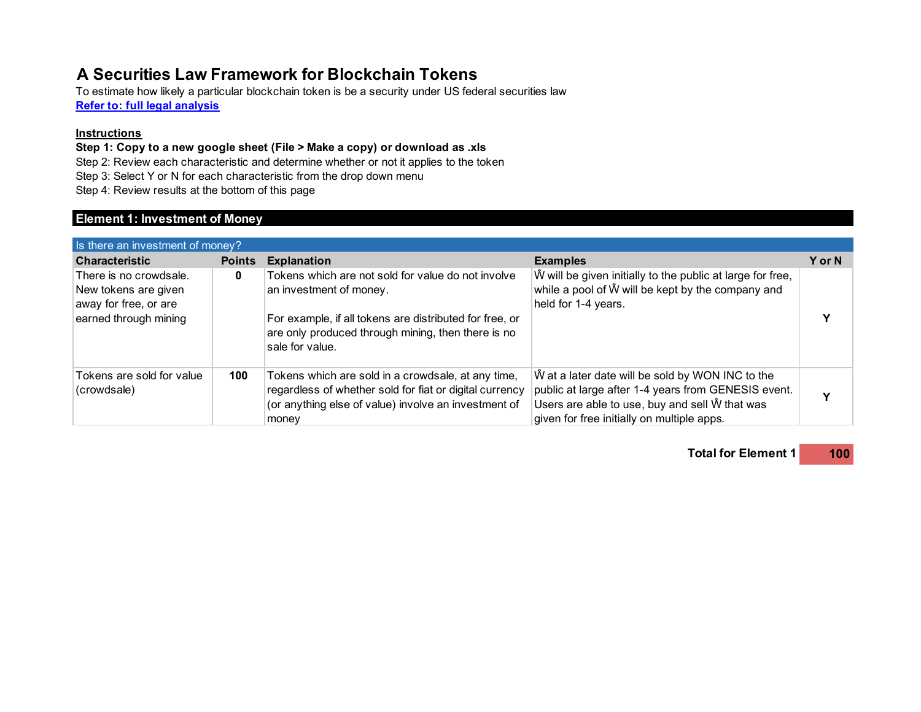# **A Securities Law Framework for Blockchain Tokens**

**Refer to: full legal analysis** To estimate how likely a particular blockchain token is be a security under US federal securities law

#### **Instructions**

**Step 1: Copy to a new google sheet (File > Make a copy) or download as .xls**

Step 2: Review each characteristic and determine whether or not it applies to the token

Step 3: Select Y or N for each characteristic from the drop down menu

Step 4: Review results at the bottom of this page

## **Element 1: Investment of Money**

| Is there an investment of money?                                                                 |               |                                                                                                                                                                                                                   |                                                                                                                                                                                                         |        |
|--------------------------------------------------------------------------------------------------|---------------|-------------------------------------------------------------------------------------------------------------------------------------------------------------------------------------------------------------------|---------------------------------------------------------------------------------------------------------------------------------------------------------------------------------------------------------|--------|
| <b>Characteristic</b>                                                                            | <b>Points</b> | <b>Explanation</b>                                                                                                                                                                                                | <b>Examples</b>                                                                                                                                                                                         | Y or N |
| There is no crowdsale.<br>New tokens are given<br>away for free, or are<br>earned through mining | 0             | Tokens which are not sold for value do not involve<br>an investment of money.<br>For example, if all tokens are distributed for free, or<br>are only produced through mining, then there is no<br>sale for value. | W will be given initially to the public at large for free,<br>while a pool of W will be kept by the company and<br>held for 1-4 years.                                                                  |        |
| Tokens are sold for value<br>(crowdsale)                                                         | 100           | Tokens which are sold in a crowdsale, at any time,<br>regardless of whether sold for fiat or digital currency<br>(or anything else of value) involve an investment of<br>money                                    | W at a later date will be sold by WON INC to the<br>public at large after 1-4 years from GENESIS event.<br>Users are able to use, buy and sell W that was<br>given for free initially on multiple apps. |        |

**Total for Element 1 100**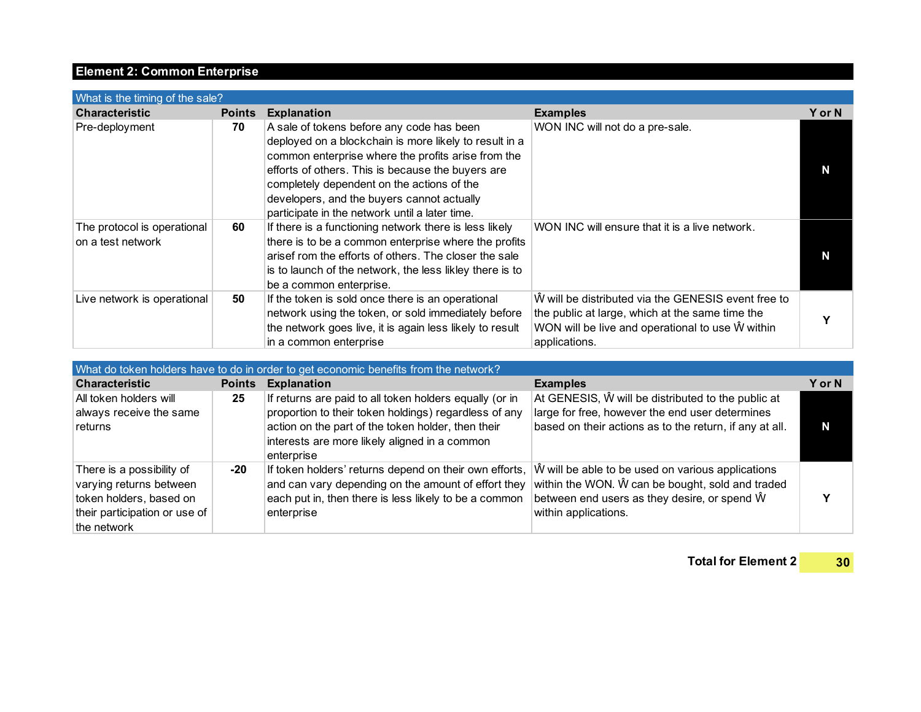## **Element 2: Common Enterprise**

| What is the timing of the sale?                  |               |                                                                                                                                                                                                                                                                                                                                                              |                                                                                                                                                                             |               |  |
|--------------------------------------------------|---------------|--------------------------------------------------------------------------------------------------------------------------------------------------------------------------------------------------------------------------------------------------------------------------------------------------------------------------------------------------------------|-----------------------------------------------------------------------------------------------------------------------------------------------------------------------------|---------------|--|
| <b>Characteristic</b>                            | <b>Points</b> | <b>Explanation</b>                                                                                                                                                                                                                                                                                                                                           | <b>Examples</b>                                                                                                                                                             | <b>Y</b> or N |  |
| Pre-deployment                                   | 70            | A sale of tokens before any code has been<br>deployed on a blockchain is more likely to result in a<br>common enterprise where the profits arise from the<br>efforts of others. This is because the buyers are<br>completely dependent on the actions of the<br>developers, and the buyers cannot actually<br>participate in the network until a later time. | WON INC will not do a pre-sale.                                                                                                                                             | N             |  |
| The protocol is operational<br>on a test network | 60            | If there is a functioning network there is less likely<br>there is to be a common enterprise where the profits<br>arisef rom the efforts of others. The closer the sale<br>is to launch of the network, the less likley there is to<br>be a common enterprise.                                                                                               | WON INC will ensure that it is a live network.                                                                                                                              | N             |  |
| Live network is operational                      | 50            | If the token is sold once there is an operational<br>network using the token, or sold immediately before<br>the network goes live, it is again less likely to result<br>in a common enterprise                                                                                                                                                               | W will be distributed via the GENESIS event free to<br>the public at large, which at the same time the<br>WON will be live and operational to use W within<br>applications. |               |  |

| What do token holders have to do in order to get economic benefits from the network?                                            |               |                                                                                                                                                                                                                                       |                                                                                                                                                                               |               |  |
|---------------------------------------------------------------------------------------------------------------------------------|---------------|---------------------------------------------------------------------------------------------------------------------------------------------------------------------------------------------------------------------------------------|-------------------------------------------------------------------------------------------------------------------------------------------------------------------------------|---------------|--|
| <b>Characteristic</b>                                                                                                           | <b>Points</b> | <b>Explanation</b>                                                                                                                                                                                                                    | <b>Examples</b>                                                                                                                                                               | <b>Y</b> or N |  |
| All token holders will<br>always receive the same<br>returns                                                                    | 25            | If returns are paid to all token holders equally (or in<br>proportion to their token holdings) regardless of any<br>action on the part of the token holder, then their<br>interests are more likely aligned in a common<br>enterprise | At GENESIS, W will be distributed to the public at<br>large for free, however the end user determines<br>based on their actions as to the return, if any at all.              | N             |  |
| There is a possibility of<br>varying returns between<br>token holders, based on<br>their participation or use of<br>the network | -20           | If token holders' returns depend on their own efforts,<br>and can vary depending on the amount of effort they<br>each put in, then there is less likely to be a common<br>enterprise                                                  | W will be able to be used on various applications<br>within the WON. W can be bought, sold and traded<br>between end users as they desire, or spend W<br>within applications. |               |  |

**Total for Element 2 30**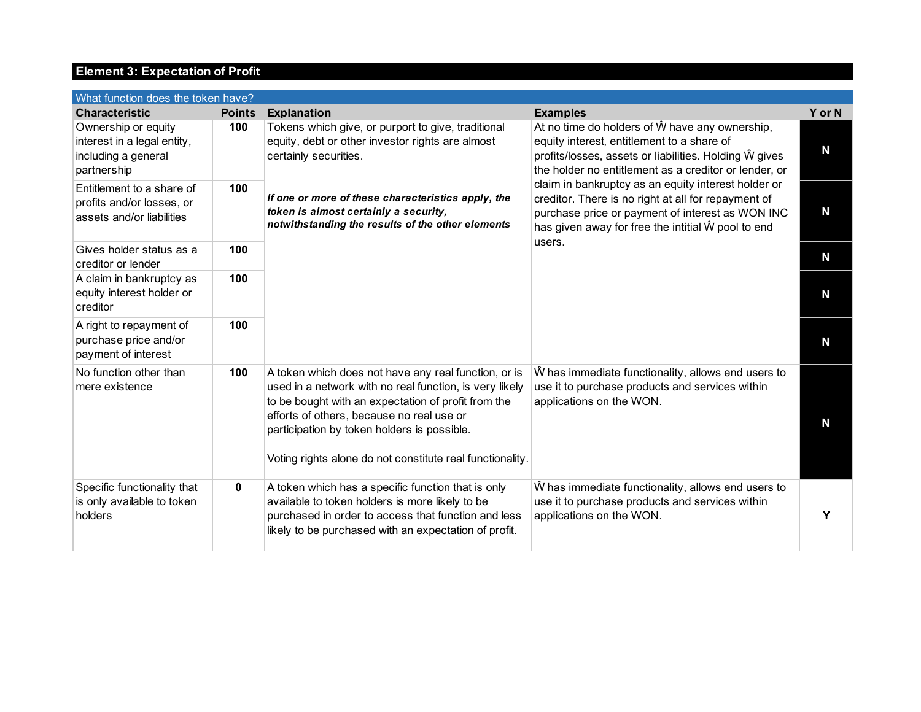## **Element 3: Expectation of Profit**

| What function does the token have?                                                       |               |                                                                                                                                                                                                                                                                                                                                 |                                                                                                                                                                                                                                |        |  |
|------------------------------------------------------------------------------------------|---------------|---------------------------------------------------------------------------------------------------------------------------------------------------------------------------------------------------------------------------------------------------------------------------------------------------------------------------------|--------------------------------------------------------------------------------------------------------------------------------------------------------------------------------------------------------------------------------|--------|--|
| <b>Characteristic</b>                                                                    | <b>Points</b> | <b>Explanation</b>                                                                                                                                                                                                                                                                                                              | <b>Examples</b>                                                                                                                                                                                                                | Y or N |  |
| Ownership or equity<br>interest in a legal entity,<br>including a general<br>partnership | 100           | Tokens which give, or purport to give, traditional<br>equity, debt or other investor rights are almost<br>certainly securities.                                                                                                                                                                                                 | At no time do holders of W have any ownership,<br>equity interest, entitlement to a share of<br>profits/losses, assets or liabilities. Holding W gives<br>the holder no entitlement as a creditor or lender, or                | N      |  |
| Entitlement to a share of<br>profits and/or losses, or<br>assets and/or liabilities      | 100           | If one or more of these characteristics apply, the<br>token is almost certainly a security,<br>notwithstanding the results of the other elements                                                                                                                                                                                | claim in bankruptcy as an equity interest holder or<br>creditor. There is no right at all for repayment of<br>purchase price or payment of interest as WON INC<br>has given away for free the intitial W pool to end<br>users. | N      |  |
| Gives holder status as a<br>creditor or lender                                           | 100           |                                                                                                                                                                                                                                                                                                                                 |                                                                                                                                                                                                                                | N      |  |
| A claim in bankruptcy as<br>equity interest holder or<br>creditor                        | 100           |                                                                                                                                                                                                                                                                                                                                 |                                                                                                                                                                                                                                | N      |  |
| A right to repayment of<br>purchase price and/or<br>payment of interest                  | 100           |                                                                                                                                                                                                                                                                                                                                 |                                                                                                                                                                                                                                | N      |  |
| No function other than<br>mere existence                                                 | 100           | A token which does not have any real function, or is<br>used in a network with no real function, is very likely<br>to be bought with an expectation of profit from the<br>efforts of others, because no real use or<br>participation by token holders is possible.<br>Voting rights alone do not constitute real functionality. | W has immediate functionality, allows end users to<br>use it to purchase products and services within<br>applications on the WON.                                                                                              | N      |  |
| Specific functionality that<br>is only available to token<br>holders                     | 0             | A token which has a specific function that is only<br>available to token holders is more likely to be<br>purchased in order to access that function and less<br>likely to be purchased with an expectation of profit.                                                                                                           | W has immediate functionality, allows end users to<br>use it to purchase products and services within<br>applications on the WON.                                                                                              | Υ      |  |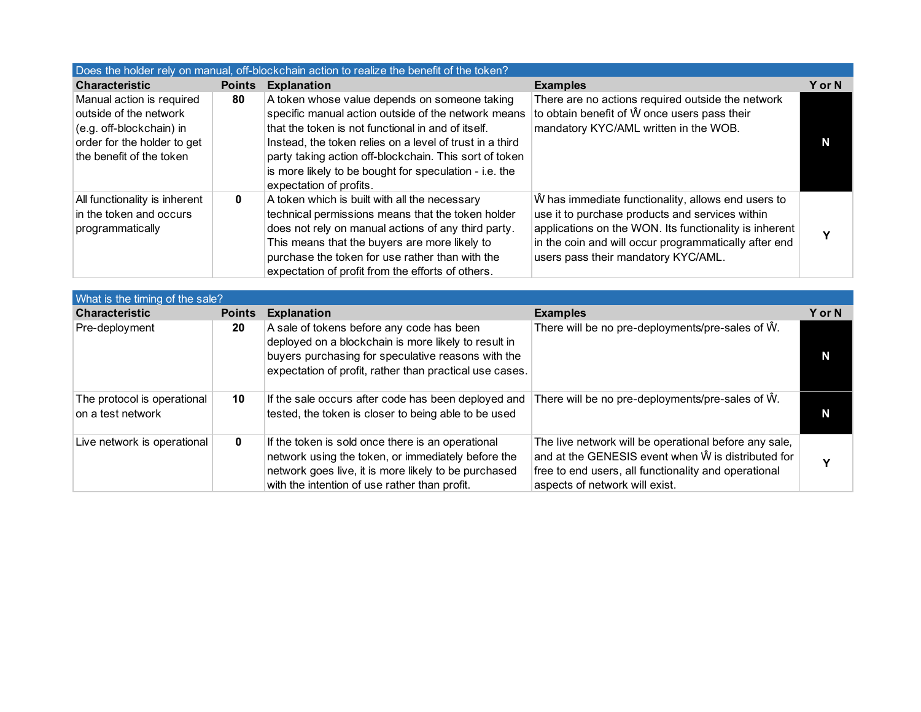| Does the holder rely on manual, off-blockchain action to realize the benefit of the token?                                                 |               |                                                                                                                                                                                                                                                                                                                                                                       |                                                                                                                                                                                                                                                                 |        |  |
|--------------------------------------------------------------------------------------------------------------------------------------------|---------------|-----------------------------------------------------------------------------------------------------------------------------------------------------------------------------------------------------------------------------------------------------------------------------------------------------------------------------------------------------------------------|-----------------------------------------------------------------------------------------------------------------------------------------------------------------------------------------------------------------------------------------------------------------|--------|--|
| <b>Characteristic</b>                                                                                                                      | <b>Points</b> | <b>Explanation</b>                                                                                                                                                                                                                                                                                                                                                    | <b>Examples</b>                                                                                                                                                                                                                                                 | Y or N |  |
| Manual action is required<br>outside of the network<br>(e.g. off-blockchain) in<br>order for the holder to get<br>the benefit of the token | 80            | A token whose value depends on someone taking<br>specific manual action outside of the network means<br>that the token is not functional in and of itself.<br>Instead, the token relies on a level of trust in a third<br>party taking action off-blockchain. This sort of token<br>is more likely to be bought for speculation - i.e. the<br>expectation of profits. | There are no actions required outside the network<br>to obtain benefit of W once users pass their<br>mandatory KYC/AML written in the WOB.                                                                                                                      | N      |  |
| All functionality is inherent<br>in the token and occurs<br>programmatically                                                               | 0             | A token which is built with all the necessary<br>technical permissions means that the token holder<br>does not rely on manual actions of any third party.<br>This means that the buyers are more likely to<br>purchase the token for use rather than with the<br>expectation of profit from the efforts of others.                                                    | W has immediate functionality, allows end users to<br>use it to purchase products and services within<br>applications on the WON. Its functionality is inherent<br>in the coin and will occur programmatically after end<br>users pass their mandatory KYC/AML. |        |  |

| What is the timing of the sale?                  |               |                                                                                                                                                                                                                    |                                                                                                                                                                                                               |        |  |
|--------------------------------------------------|---------------|--------------------------------------------------------------------------------------------------------------------------------------------------------------------------------------------------------------------|---------------------------------------------------------------------------------------------------------------------------------------------------------------------------------------------------------------|--------|--|
| <b>Characteristic</b>                            | <b>Points</b> | <b>Explanation</b>                                                                                                                                                                                                 | <b>Examples</b>                                                                                                                                                                                               | Y or N |  |
| Pre-deployment                                   | 20            | A sale of tokens before any code has been<br>deployed on a blockchain is more likely to result in<br>buyers purchasing for speculative reasons with the<br>expectation of profit, rather than practical use cases. | There will be no pre-deployments/pre-sales of $\hat{W}$ .                                                                                                                                                     |        |  |
| The protocol is operational<br>on a test network | 10            | If the sale occurs after code has been deployed and<br>tested, the token is closer to being able to be used                                                                                                        | There will be no pre-deployments/pre-sales of $\hat{W}$ .                                                                                                                                                     |        |  |
| Live network is operational                      | 0             | If the token is sold once there is an operational<br>network using the token, or immediately before the<br>network goes live, it is more likely to be purchased<br>with the intention of use rather than profit.   | The live network will be operational before any sale,<br>and at the GENESIS event when $\hat{W}$ is distributed for<br>free to end users, all functionality and operational<br>aspects of network will exist. | v      |  |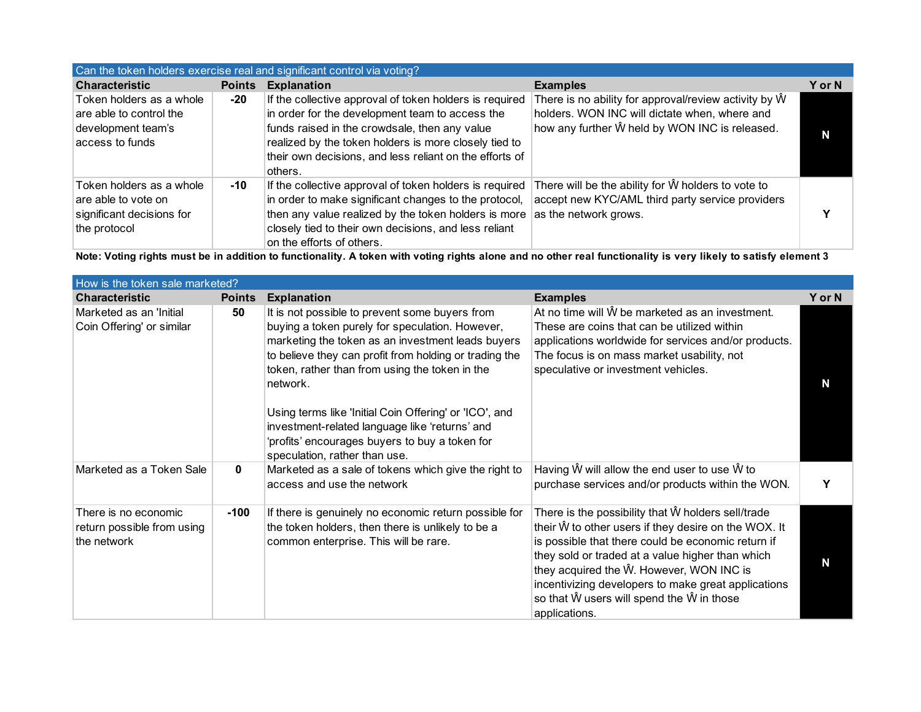| Can the token holders exercise real and significant control via voting?                      |               |                                                                                                                                                                                                                                                                                            |                                                                                                                                                                          |        |  |
|----------------------------------------------------------------------------------------------|---------------|--------------------------------------------------------------------------------------------------------------------------------------------------------------------------------------------------------------------------------------------------------------------------------------------|--------------------------------------------------------------------------------------------------------------------------------------------------------------------------|--------|--|
| <b>Characteristic</b>                                                                        | <b>Points</b> | <b>Explanation</b>                                                                                                                                                                                                                                                                         | <b>Examples</b>                                                                                                                                                          | Y or N |  |
| Token holders as a whole<br>are able to control the<br>development team's<br>access to funds | -20           | If the collective approval of token holders is required<br>in order for the development team to access the<br>funds raised in the crowdsale, then any value<br>realized by the token holders is more closely tied to<br>their own decisions, and less reliant on the efforts of<br>others. | There is no ability for approval/review activity by $\hat{W}$<br>holders. WON INC will dictate when, where and<br>how any further $\hat{W}$ held by WON INC is released. | N      |  |
| Token holders as a whole<br>are able to vote on<br>significant decisions for<br>the protocol | -10           | If the collective approval of token holders is required<br>in order to make significant changes to the protocol,<br>then any value realized by the token holders is more<br>closely tied to their own decisions, and less reliant<br>on the efforts of others.                             | There will be the ability for W holders to vote to<br>accept new KYC/AML third party service providers<br>as the network grows.                                          |        |  |

**Note: Voting rights must be in addition to functionality. A token with voting rights alone and no other real functionality is very likely to satisfy element 3**

| How is the token sale marketed?                                   |               |                                                                                                                                                                                                                                                                                                                                                                                                                                                                               |                                                                                                                                                                                                                                                                                                                                                                                       |        |  |
|-------------------------------------------------------------------|---------------|-------------------------------------------------------------------------------------------------------------------------------------------------------------------------------------------------------------------------------------------------------------------------------------------------------------------------------------------------------------------------------------------------------------------------------------------------------------------------------|---------------------------------------------------------------------------------------------------------------------------------------------------------------------------------------------------------------------------------------------------------------------------------------------------------------------------------------------------------------------------------------|--------|--|
| <b>Characteristic</b>                                             | <b>Points</b> | <b>Explanation</b>                                                                                                                                                                                                                                                                                                                                                                                                                                                            | <b>Examples</b>                                                                                                                                                                                                                                                                                                                                                                       | Y or N |  |
| Marketed as an 'Initial<br>Coin Offering' or similar              | 50            | It is not possible to prevent some buyers from<br>buying a token purely for speculation. However,<br>marketing the token as an investment leads buyers<br>to believe they can profit from holding or trading the<br>token, rather than from using the token in the<br>network.<br>Using terms like 'Initial Coin Offering' or 'ICO', and<br>investment-related language like 'returns' and<br>'profits' encourages buyers to buy a token for<br>speculation, rather than use. | At no time will W be marketed as an investment.<br>These are coins that can be utilized within<br>applications worldwide for services and/or products.<br>The focus is on mass market usability, not<br>speculative or investment vehicles.                                                                                                                                           | N      |  |
| Marketed as a Token Sale                                          | $\bf{0}$      | Marketed as a sale of tokens which give the right to<br>access and use the network                                                                                                                                                                                                                                                                                                                                                                                            | Having $\hat{W}$ will allow the end user to use $\hat{W}$ to<br>purchase services and/or products within the WON.                                                                                                                                                                                                                                                                     | Υ      |  |
| There is no economic<br>return possible from using<br>the network | $-100$        | If there is genuinely no economic return possible for<br>the token holders, then there is unlikely to be a<br>common enterprise. This will be rare.                                                                                                                                                                                                                                                                                                                           | There is the possibility that W holders sell/trade<br>their Ŵ to other users if they desire on the WOX. It<br>is possible that there could be economic return if<br>they sold or traded at a value higher than which<br>they acquired the W. However, WON INC is<br>incentivizing developers to make great applications<br>so that W users will spend the W in those<br>applications. | N      |  |